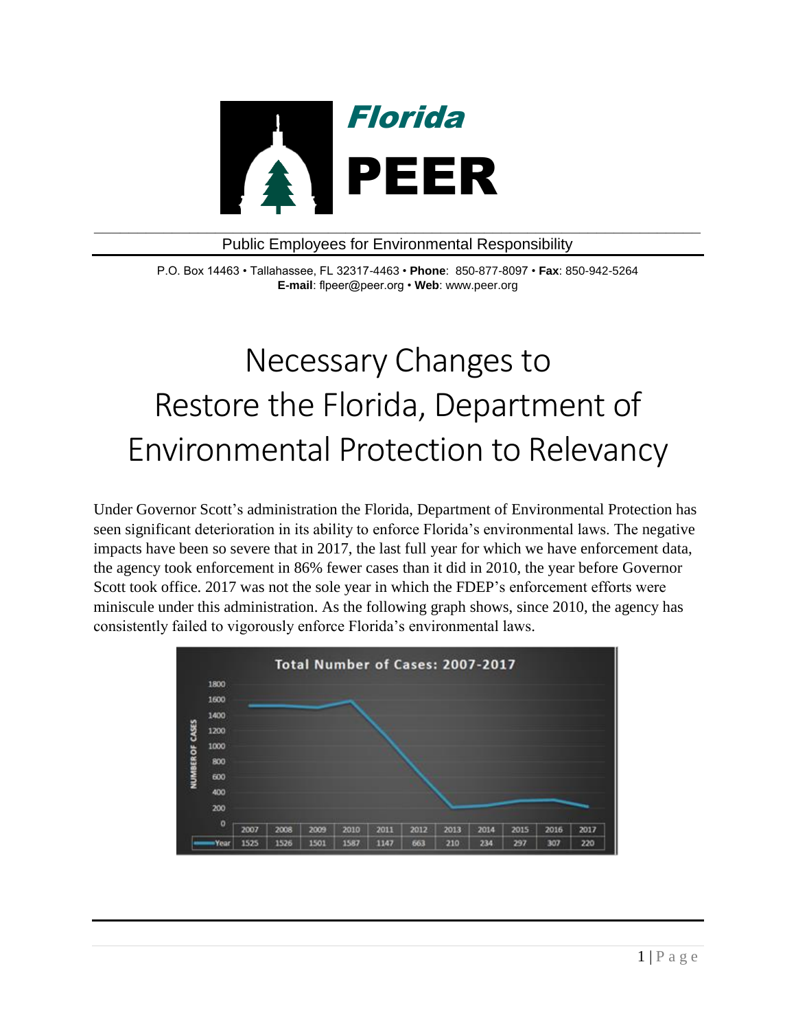

## Public Employees for Environmental Responsibility

P.O. Box 14463 • Tallahassee, FL 32317-4463 • **Phone**: 850-877-8097 • **Fax**: 850-942-5264 **E-mail**: flpeer@peer.org • **Web**: www.peer.org

## Necessary Changes to Restore the Florida, Department of Environmental Protection to Relevancy

Under Governor Scott's administration the Florida, Department of Environmental Protection has seen significant deterioration in its ability to enforce Florida's environmental laws. The negative impacts have been so severe that in 2017, the last full year for which we have enforcement data, the agency took enforcement in 86% fewer cases than it did in 2010, the year before Governor Scott took office. 2017 was not the sole year in which the FDEP's enforcement efforts were miniscule under this administration. As the following graph shows, since 2010, the agency has consistently failed to vigorously enforce Florida's environmental laws.

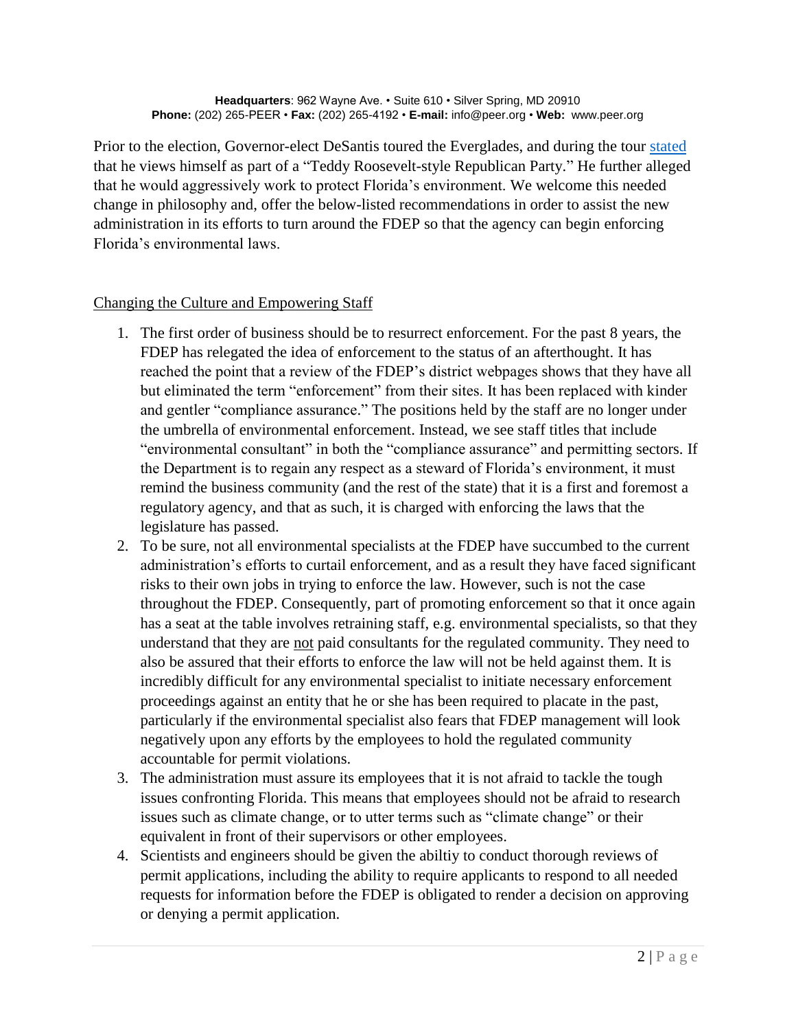Prior to the election, Governor-elect DeSantis toured the Everglades, and during the tour [stated](https://www.sun-sentinel.com/news/politics/fl-ne-ron-desantis-everglades-tour-ron-bergeron-20180912-story.html) that he views himself as part of a "Teddy Roosevelt-style Republican Party." He further alleged that he would aggressively work to protect Florida's environment. We welcome this needed change in philosophy and, offer the below-listed recommendations in order to assist the new administration in its efforts to turn around the FDEP so that the agency can begin enforcing Florida's environmental laws.

## Changing the Culture and Empowering Staff

- 1. The first order of business should be to resurrect enforcement. For the past 8 years, the FDEP has relegated the idea of enforcement to the status of an afterthought. It has reached the point that a review of the FDEP's district webpages shows that they have all but eliminated the term "enforcement" from their sites. It has been replaced with kinder and gentler "compliance assurance." The positions held by the staff are no longer under the umbrella of environmental enforcement. Instead, we see staff titles that include "environmental consultant" in both the "compliance assurance" and permitting sectors. If the Department is to regain any respect as a steward of Florida's environment, it must remind the business community (and the rest of the state) that it is a first and foremost a regulatory agency, and that as such, it is charged with enforcing the laws that the legislature has passed.
- 2. To be sure, not all environmental specialists at the FDEP have succumbed to the current administration's efforts to curtail enforcement, and as a result they have faced significant risks to their own jobs in trying to enforce the law. However, such is not the case throughout the FDEP. Consequently, part of promoting enforcement so that it once again has a seat at the table involves retraining staff, e.g. environmental specialists, so that they understand that they are not paid consultants for the regulated community. They need to also be assured that their efforts to enforce the law will not be held against them. It is incredibly difficult for any environmental specialist to initiate necessary enforcement proceedings against an entity that he or she has been required to placate in the past, particularly if the environmental specialist also fears that FDEP management will look negatively upon any efforts by the employees to hold the regulated community accountable for permit violations.
- 3. The administration must assure its employees that it is not afraid to tackle the tough issues confronting Florida. This means that employees should not be afraid to research issues such as climate change, or to utter terms such as "climate change" or their equivalent in front of their supervisors or other employees.
- 4. Scientists and engineers should be given the abiltiy to conduct thorough reviews of permit applications, including the ability to require applicants to respond to all needed requests for information before the FDEP is obligated to render a decision on approving or denying a permit application.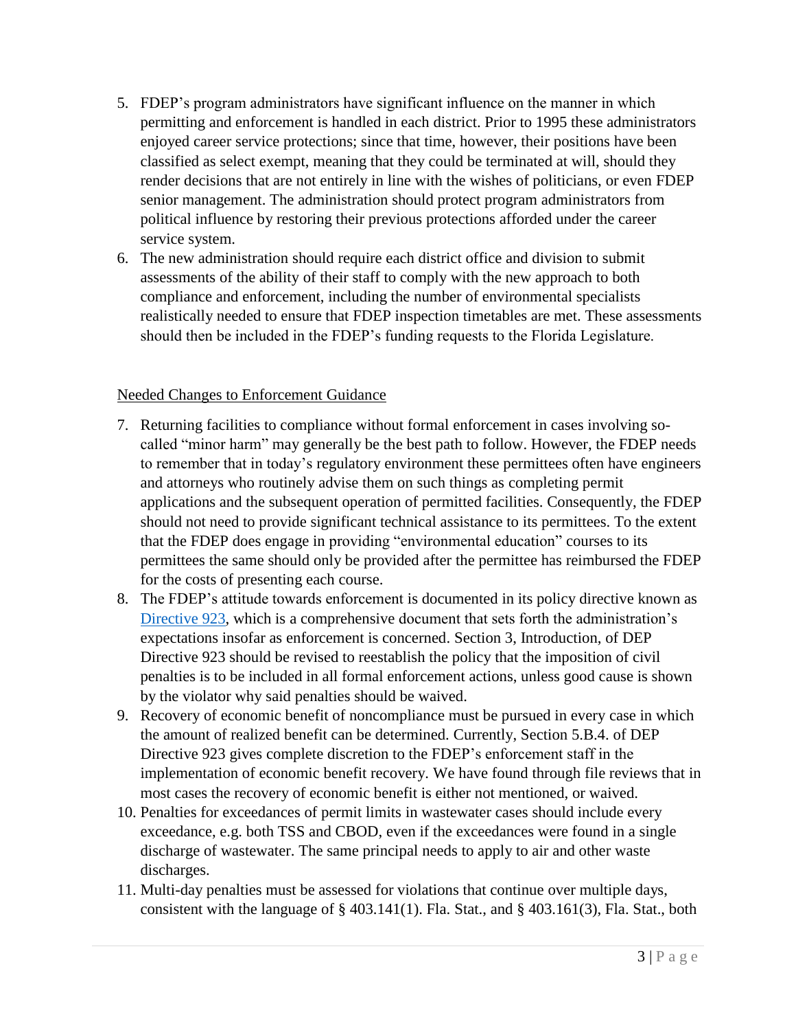- 5. FDEP's program administrators have significant influence on the manner in which permitting and enforcement is handled in each district. Prior to 1995 these administrators enjoyed career service protections; since that time, however, their positions have been classified as select exempt, meaning that they could be terminated at will, should they render decisions that are not entirely in line with the wishes of politicians, or even FDEP senior management. The administration should protect program administrators from political influence by restoring their previous protections afforded under the career service system.
- 6. The new administration should require each district office and division to submit assessments of the ability of their staff to comply with the new approach to both compliance and enforcement, including the number of environmental specialists realistically needed to ensure that FDEP inspection timetables are met. These assessments should then be included in the FDEP's funding requests to the Florida Legislature.

## Needed Changes to Enforcement Guidance

- 7. Returning facilities to compliance without formal enforcement in cases involving socalled "minor harm" may generally be the best path to follow. However, the FDEP needs to remember that in today's regulatory environment these permittees often have engineers and attorneys who routinely advise them on such things as completing permit applications and the subsequent operation of permitted facilities. Consequently, the FDEP should not need to provide significant technical assistance to its permittees. To the extent that the FDEP does engage in providing "environmental education" courses to its permittees the same should only be provided after the permittee has reimbursed the FDEP for the costs of presenting each course.
- 8. The FDEP's attitude towards enforcement is documented in its policy directive known as [Directive 923,](https://floridadep.gov/sites/default/files/dep_923_civil_penalty_directive.pdf) which is a comprehensive document that sets forth the administration's expectations insofar as enforcement is concerned. Section 3, Introduction, of DEP Directive 923 should be revised to reestablish the policy that the imposition of civil penalties is to be included in all formal enforcement actions, unless good cause is shown by the violator why said penalties should be waived.
- 9. Recovery of economic benefit of noncompliance must be pursued in every case in which the amount of realized benefit can be determined. Currently, Section 5.B.4. of DEP Directive 923 gives complete discretion to the FDEP's enforcement staff in the implementation of economic benefit recovery. We have found through file reviews that in most cases the recovery of economic benefit is either not mentioned, or waived.
- 10. Penalties for exceedances of permit limits in wastewater cases should include every exceedance, e.g. both TSS and CBOD, even if the exceedances were found in a single discharge of wastewater. The same principal needs to apply to air and other waste discharges.
- 11. Multi-day penalties must be assessed for violations that continue over multiple days, consistent with the language of § 403.141(1). Fla. Stat., and § 403.161(3), Fla. Stat., both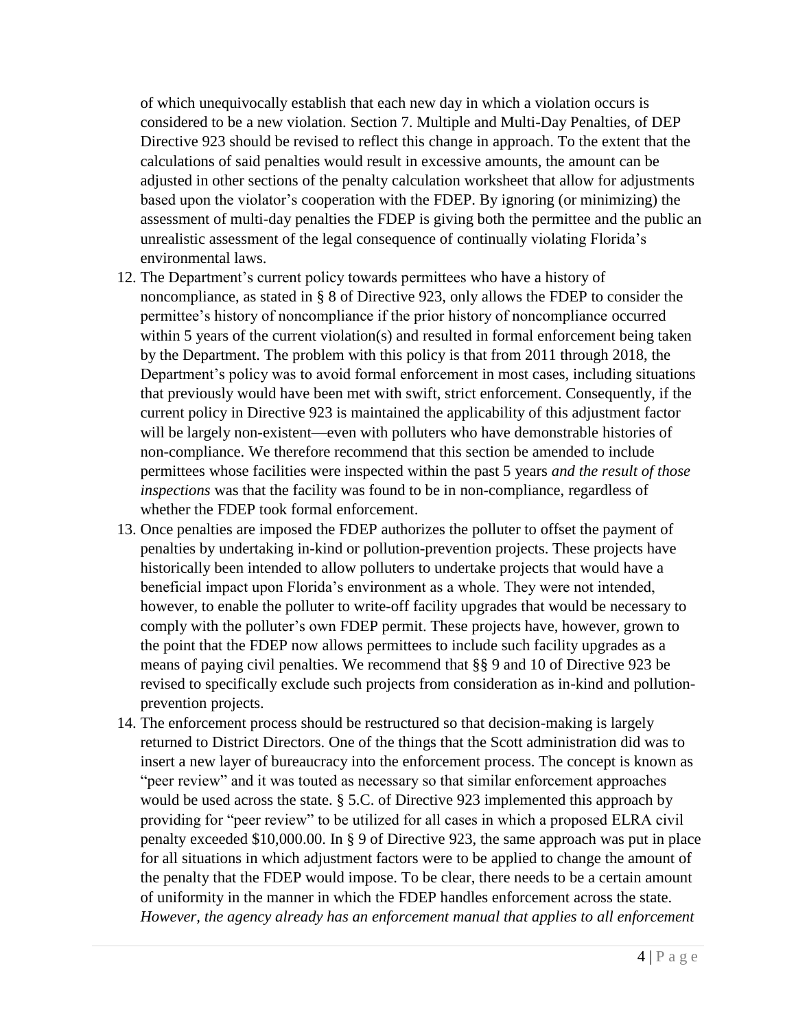of which unequivocally establish that each new day in which a violation occurs is considered to be a new violation. Section 7. Multiple and Multi-Day Penalties, of DEP Directive 923 should be revised to reflect this change in approach. To the extent that the calculations of said penalties would result in excessive amounts, the amount can be adjusted in other sections of the penalty calculation worksheet that allow for adjustments based upon the violator's cooperation with the FDEP. By ignoring (or minimizing) the assessment of multi-day penalties the FDEP is giving both the permittee and the public an unrealistic assessment of the legal consequence of continually violating Florida's environmental laws.

- 12. The Department's current policy towards permittees who have a history of noncompliance, as stated in § 8 of Directive 923, only allows the FDEP to consider the permittee's history of noncompliance if the prior history of noncompliance occurred within 5 years of the current violation(s) and resulted in formal enforcement being taken by the Department. The problem with this policy is that from 2011 through 2018, the Department's policy was to avoid formal enforcement in most cases, including situations that previously would have been met with swift, strict enforcement. Consequently, if the current policy in Directive 923 is maintained the applicability of this adjustment factor will be largely non-existent—even with polluters who have demonstrable histories of non-compliance. We therefore recommend that this section be amended to include permittees whose facilities were inspected within the past 5 years *and the result of those inspections* was that the facility was found to be in non-compliance, regardless of whether the FDEP took formal enforcement.
- 13. Once penalties are imposed the FDEP authorizes the polluter to offset the payment of penalties by undertaking in-kind or pollution-prevention projects. These projects have historically been intended to allow polluters to undertake projects that would have a beneficial impact upon Florida's environment as a whole. They were not intended, however, to enable the polluter to write-off facility upgrades that would be necessary to comply with the polluter's own FDEP permit. These projects have, however, grown to the point that the FDEP now allows permittees to include such facility upgrades as a means of paying civil penalties. We recommend that §§ 9 and 10 of Directive 923 be revised to specifically exclude such projects from consideration as in-kind and pollutionprevention projects.
- 14. The enforcement process should be restructured so that decision-making is largely returned to District Directors. One of the things that the Scott administration did was to insert a new layer of bureaucracy into the enforcement process. The concept is known as "peer review" and it was touted as necessary so that similar enforcement approaches would be used across the state. § 5.C. of Directive 923 implemented this approach by providing for "peer review" to be utilized for all cases in which a proposed ELRA civil penalty exceeded \$10,000.00. In § 9 of Directive 923, the same approach was put in place for all situations in which adjustment factors were to be applied to change the amount of the penalty that the FDEP would impose. To be clear, there needs to be a certain amount of uniformity in the manner in which the FDEP handles enforcement across the state. *However, the agency already has an enforcement manual that applies to all enforcement*